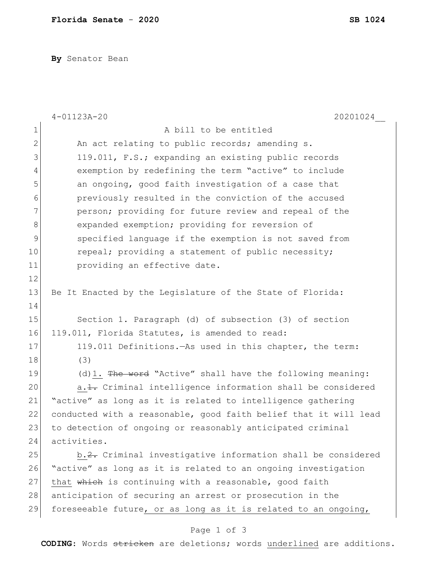**By** Senator Bean

|              | 20201024<br>$4 - 01123A - 20$                                    |
|--------------|------------------------------------------------------------------|
| $\mathbf 1$  | A bill to be entitled                                            |
| $\mathbf{2}$ | An act relating to public records; amending s.                   |
| 3            | 119.011, F.S.; expanding an existing public records              |
| 4            | exemption by redefining the term "active" to include             |
| 5            | an ongoing, good faith investigation of a case that              |
| 6            | previously resulted in the conviction of the accused             |
| 7            | person; providing for future review and repeal of the            |
| 8            | expanded exemption; providing for reversion of                   |
| 9            | specified language if the exemption is not saved from            |
| 10           | repeal; providing a statement of public necessity;               |
| 11           | providing an effective date.                                     |
| 12           |                                                                  |
| 13           | Be It Enacted by the Legislature of the State of Florida:        |
| 14           |                                                                  |
| 15           | Section 1. Paragraph (d) of subsection (3) of section            |
| 16           | 119.011, Florida Statutes, is amended to read:                   |
| 17           | 119.011 Definitions. - As used in this chapter, the term:        |
| 18           | (3)                                                              |
| 19           | (d) 1. The word "Active" shall have the following meaning:       |
| 20           | a. 1. Criminal intelligence information shall be considered      |
| 21           | "active" as long as it is related to intelligence gathering      |
| 22           | conducted with a reasonable, good faith belief that it will lead |
| 23           | to detection of ongoing or reasonably anticipated criminal       |
| 24           | activities.                                                      |
| 25           | b.2. Criminal investigative information shall be considered      |
| 26           | "active" as long as it is related to an ongoing investigation    |
| 27           | that which is continuing with a reasonable, good faith           |
| 28           | anticipation of securing an arrest or prosecution in the         |
| 29           | foreseeable future, or as long as it is related to an ongoing,   |

## Page 1 of 3

**CODING**: Words stricken are deletions; words underlined are additions.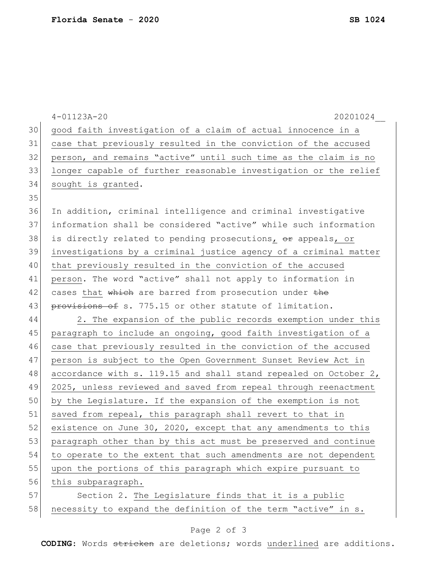|    | $4 - 01123A - 20$<br>20201024                                    |
|----|------------------------------------------------------------------|
| 30 | good faith investigation of a claim of actual innocence in a     |
| 31 | case that previously resulted in the conviction of the accused   |
| 32 | person, and remains "active" until such time as the claim is no  |
| 33 | longer capable of further reasonable investigation or the relief |
| 34 | sought is granted.                                               |
| 35 |                                                                  |
| 36 | In addition, criminal intelligence and criminal investigative    |
| 37 | information shall be considered "active" while such information  |
| 38 | is directly related to pending prosecutions, or appeals, or      |
| 39 | investigations by a criminal justice agency of a criminal matter |
| 40 | that previously resulted in the conviction of the accused        |
| 41 | person. The word "active" shall not apply to information in      |
| 42 | cases that which are barred from prosecution under the           |
| 43 | provisions of s. 775.15 or other statute of limitation.          |
| 44 | 2. The expansion of the public records exemption under this      |
| 45 | paragraph to include an ongoing, good faith investigation of a   |
| 46 | case that previously resulted in the conviction of the accused   |
| 47 | person is subject to the Open Government Sunset Review Act in    |
| 48 | accordance with s. 119.15 and shall stand repealed on October 2, |
| 49 | 2025, unless reviewed and saved from repeal through reenactment  |
| 50 | by the Legislature. If the expansion of the exemption is not     |
| 51 | saved from repeal, this paragraph shall revert to that in        |
| 52 | existence on June 30, 2020, except that any amendments to this   |
| 53 | paragraph other than by this act must be preserved and continue  |
| 54 | to operate to the extent that such amendments are not dependent  |
| 55 | upon the portions of this paragraph which expire pursuant to     |
| 56 | this subparagraph.                                               |
| 57 | Section 2. The Legislature finds that it is a public             |
| 58 | necessity to expand the definition of the term "active" in s.    |

## Page 2 of 3

**CODING**: Words stricken are deletions; words underlined are additions.